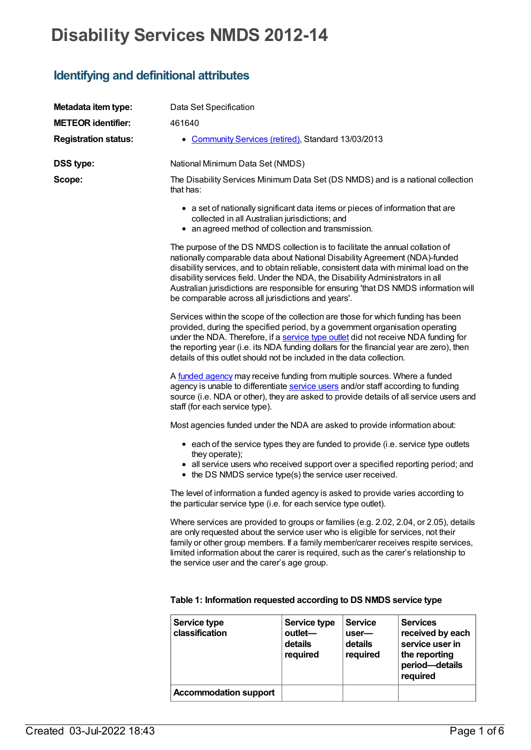# **Disability Services NMDS 2012-14**

# **Identifying and definitional attributes**

| Metadata item type:         | Data Set Specification                                                                                                                                                                                                                                                                                                                                                                                                                                                                 |                                                |                                                |                                                                         |  |
|-----------------------------|----------------------------------------------------------------------------------------------------------------------------------------------------------------------------------------------------------------------------------------------------------------------------------------------------------------------------------------------------------------------------------------------------------------------------------------------------------------------------------------|------------------------------------------------|------------------------------------------------|-------------------------------------------------------------------------|--|
| <b>METEOR identifier:</b>   | 461640                                                                                                                                                                                                                                                                                                                                                                                                                                                                                 |                                                |                                                |                                                                         |  |
| <b>Registration status:</b> | • Community Services (retired), Standard 13/03/2013                                                                                                                                                                                                                                                                                                                                                                                                                                    |                                                |                                                |                                                                         |  |
| <b>DSS type:</b>            | National Minimum Data Set (NMDS)                                                                                                                                                                                                                                                                                                                                                                                                                                                       |                                                |                                                |                                                                         |  |
| Scope:                      | The Disability Services Minimum Data Set (DS NMDS) and is a national collection<br>that has:                                                                                                                                                                                                                                                                                                                                                                                           |                                                |                                                |                                                                         |  |
|                             | • a set of nationally significant data items or pieces of information that are<br>collected in all Australian jurisdictions; and<br>• an agreed method of collection and transmission.                                                                                                                                                                                                                                                                                                 |                                                |                                                |                                                                         |  |
|                             | The purpose of the DS NMDS collection is to facilitate the annual collation of<br>nationally comparable data about National Disability Agreement (NDA)-funded<br>disability services, and to obtain reliable, consistent data with minimal load on the<br>disability services field. Under the NDA, the Disability Administrators in all<br>Australian jurisdictions are responsible for ensuring 'that DS NMDS information will<br>be comparable across all jurisdictions and years'. |                                                |                                                |                                                                         |  |
|                             | Services within the scope of the collection are those for which funding has been<br>provided, during the specified period, by a government organisation operating<br>under the NDA. Therefore, if a service type outlet did not receive NDA funding for<br>the reporting year (i.e. its NDA funding dollars for the financial year are zero), then<br>details of this outlet should not be included in the data collection.                                                            |                                                |                                                |                                                                         |  |
|                             | A funded agency may receive funding from multiple sources. Where a funded<br>agency is unable to differentiate service users and/or staff according to funding<br>source (i.e. NDA or other), they are asked to provide details of all service users and<br>staff (for each service type).                                                                                                                                                                                             |                                                |                                                |                                                                         |  |
|                             | Most agencies funded under the NDA are asked to provide information about:                                                                                                                                                                                                                                                                                                                                                                                                             |                                                |                                                |                                                                         |  |
|                             | • each of the service types they are funded to provide (i.e. service type outlets<br>they operate);<br>• all service users who received support over a specified reporting period; and<br>• the DS NMDS service type(s) the service user received.                                                                                                                                                                                                                                     |                                                |                                                |                                                                         |  |
|                             | The level of information a funded agency is asked to provide varies according to<br>the particular service type (i.e. for each service type outlet).                                                                                                                                                                                                                                                                                                                                   |                                                |                                                |                                                                         |  |
|                             | Where services are provided to groups or families (e.g. 2.02, 2.04, or 2.05), details<br>are only requested about the service user who is eligible for services, not their<br>family or other group members. If a family member/carer receives respite services,<br>limited information about the carer is required, such as the carer's relationship to<br>the service user and the carer's age group.                                                                                |                                                |                                                |                                                                         |  |
|                             | Table 1: Information requested according to DS NMDS service type                                                                                                                                                                                                                                                                                                                                                                                                                       |                                                |                                                |                                                                         |  |
|                             | Service type<br>classification                                                                                                                                                                                                                                                                                                                                                                                                                                                         | Service type<br>outlet-<br>details<br>required | <b>Service</b><br>user-<br>details<br>required | <b>Services</b><br>received by each<br>service user in<br>the reporting |  |

**Accommodation support**

**period—details required**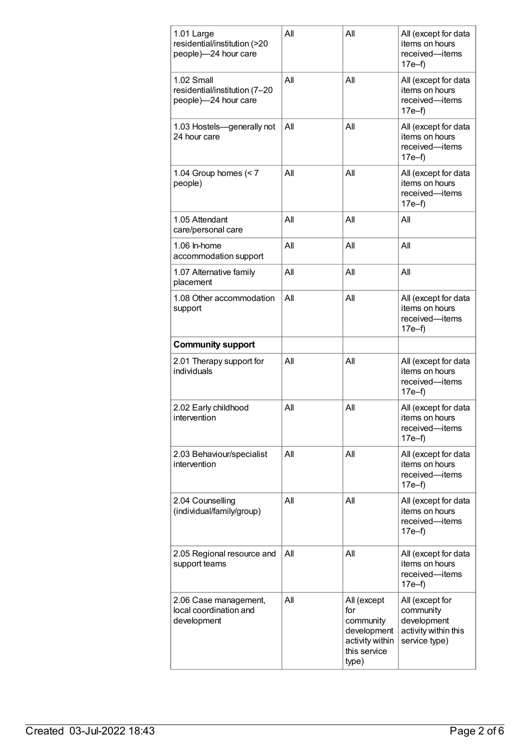| 1.01 Large<br>residential/institution (>20<br>people)-24 hour care  | All | All                                                                                        | All (except for data<br>items on hours<br>received-items<br>$17e-f$                  |
|---------------------------------------------------------------------|-----|--------------------------------------------------------------------------------------------|--------------------------------------------------------------------------------------|
| 1.02 Small<br>residential/institution (7-20<br>people)-24 hour care | All | All                                                                                        | All (except for data<br>items on hours<br>received-items<br>$17e-f$                  |
| 1.03 Hostels-generally not<br>24 hour care                          | AII | All                                                                                        | All (except for data<br>items on hours<br>received-items<br>$17e-f$                  |
| 1.04 Group homes $(< 7$<br>people)                                  | All | All                                                                                        | All (except for data<br>items on hours<br>received-items<br>$17e-f$                  |
| 1.05 Attendant<br>care/personal care                                | All | All                                                                                        | All                                                                                  |
| 1.06 ln-home<br>accommodation support                               | AII | All                                                                                        | All                                                                                  |
| 1.07 Alternative family<br>placement                                | All | All                                                                                        | All                                                                                  |
| 1.08 Other accommodation<br>support                                 | AII | All                                                                                        | All (except for data<br>items on hours<br>received-items<br>17e–f)                   |
| <b>Community support</b>                                            |     |                                                                                            |                                                                                      |
| 2.01 Therapy support for<br>individuals                             | All | All                                                                                        | All (except for data<br>items on hours<br>received-items<br>$17e-f$                  |
| 2.02 Early childhood<br>intervention                                | All | AII                                                                                        | All (except for data<br>items on hours<br>received-items<br>$17e-f$                  |
| 2.03 Behaviour/specialist<br>intervention                           | All | All                                                                                        | All (except for data<br>items on hours<br>received-items<br>$17e-f$                  |
| 2.04 Counselling<br>(individual/family/group)                       | All | All                                                                                        | All (except for data<br>items on hours<br>received-items<br>17e–f)                   |
| 2.05 Regional resource and<br>support teams                         | All | All                                                                                        | All (except for data<br>items on hours<br>received-items<br>17e–f)                   |
| 2.06 Case management,<br>local coordination and<br>development      | All | All (except<br>for<br>community<br>development<br>activity within<br>this service<br>type) | All (except for<br>community<br>development<br>activity within this<br>service type) |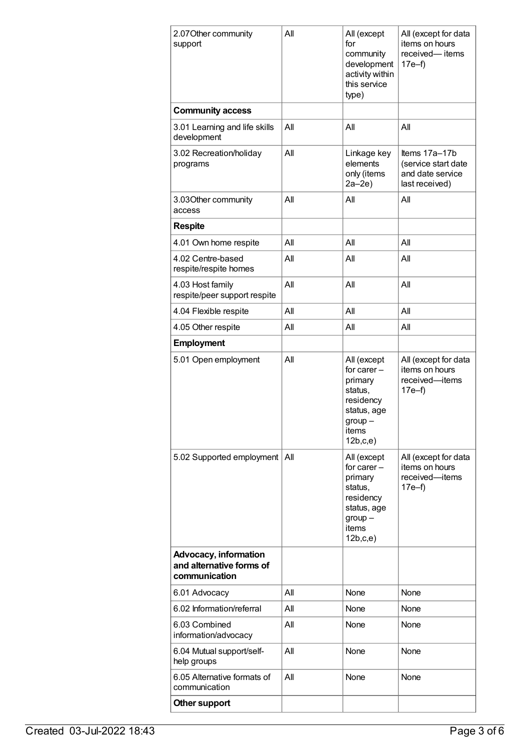| 2.07 Other community<br>support                                           | All | All (except<br>for<br>community<br>development<br>activity within<br>this service<br>type)                       | All (except for data<br>items on hours<br>received-items<br>$17e-f$        |
|---------------------------------------------------------------------------|-----|------------------------------------------------------------------------------------------------------------------|----------------------------------------------------------------------------|
| <b>Community access</b>                                                   |     |                                                                                                                  |                                                                            |
| 3.01 Learning and life skills<br>development                              | AII | All                                                                                                              | All                                                                        |
| 3.02 Recreation/holiday<br>programs                                       | AII | Linkage key<br>elements<br>only (items<br>$2a-2e$                                                                | Items 17a-17b<br>(service start date<br>and date service<br>last received) |
| 3.03Other community<br>access                                             | All | All                                                                                                              | All                                                                        |
| <b>Respite</b>                                                            |     |                                                                                                                  |                                                                            |
| 4.01 Own home respite                                                     | All | All                                                                                                              | All                                                                        |
| 4.02 Centre-based<br>respite/respite homes                                | All | All                                                                                                              | All                                                                        |
| 4.03 Host family<br>respite/peer support respite                          | All | All                                                                                                              | All                                                                        |
| 4.04 Flexible respite                                                     | All | All                                                                                                              | All                                                                        |
| 4.05 Other respite                                                        | All | All                                                                                                              | All                                                                        |
| <b>Employment</b>                                                         |     |                                                                                                                  |                                                                            |
| 5.01 Open employment                                                      | All | All (except<br>for carer $-$<br>primary<br>status,<br>residency<br>status, age<br>$group -$<br>items<br>12b,c,e) | All (except for data<br>items on hours<br>received-items<br>$17e-f$        |
| 5.02 Supported employment                                                 | All | All (except<br>for carer $-$<br>primary<br>status,<br>residency<br>status, age<br>$group -$<br>items<br>12b,c,e) | All (except for data<br>items on hours<br>received-items<br>$17e-f$        |
| <b>Advocacy, information</b><br>and alternative forms of<br>communication |     |                                                                                                                  |                                                                            |
| 6.01 Advocacy                                                             | All | None                                                                                                             | None                                                                       |
| 6.02 Information/referral                                                 | All | None                                                                                                             | None                                                                       |
| 6.03 Combined<br>information/advocacy                                     | All | None                                                                                                             | None                                                                       |
| 6.04 Mutual support/self-<br>help groups                                  | All | None                                                                                                             | None                                                                       |
| 6.05 Alternative formats of<br>communication                              | All | None                                                                                                             | None                                                                       |
| Other support                                                             |     |                                                                                                                  |                                                                            |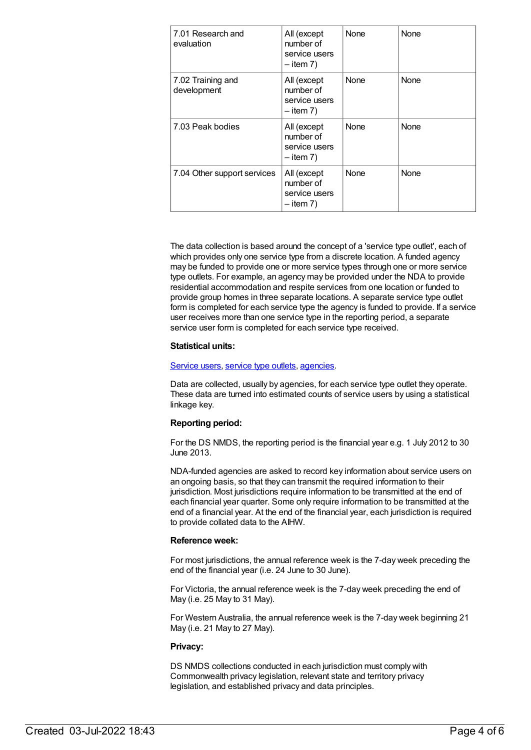| 7.01 Research and<br>evaluation  | All (except<br>number of<br>service users<br>$-$ item 7) | None | None        |
|----------------------------------|----------------------------------------------------------|------|-------------|
| 7.02 Training and<br>development | All (except<br>number of<br>service users<br>$-$ item 7) | None | None        |
| 7.03 Peak bodies                 | All (except<br>number of<br>service users<br>$-$ item 7) | None | <b>None</b> |
| 7.04 Other support services      | All (except<br>number of<br>service users<br>$-$ item 7) | None | None        |

The data collection is based around the concept of a 'service type outlet', each of which provides only one service type from a discrete location. A funded agency may be funded to provide one or more service types through one or more service type outlets. For example, an agency may be provided under the NDA to provide residential accommodation and respite services from one location or funded to provide group homes in three separate locations. A separate service type outlet form is completed for each service type the agency is funded to provide. If a service user receives more than one service type in the reporting period, a separate service user form is completed for each service type received.

#### **Statistical units:**

#### [Service](file:///content/502689) users, [service](file:///content/501973) type outlets, [agencies](file:///content/386548).

Data are collected, usually by agencies, for each service type outlet they operate. These data are turned into estimated counts of service users by using a statistical linkage key.

#### **Reporting period:**

For the DS NMDS, the reporting period is the financial year e.g. 1 July 2012 to 30 June 2013.

NDA-funded agencies are asked to record key information about service users on an ongoing basis, so that they can transmit the required information to their jurisdiction. Most jurisdictions require information to be transmitted at the end of each financial year quarter. Some only require information to be transmitted at the end of a financial year. At the end of the financial year, each jurisdiction is required to provide collated data to the AIHW.

#### **Reference week:**

For most jurisdictions, the annual reference week is the 7-day week preceding the end of the financial year (i.e. 24 June to 30 June).

For Victoria, the annual reference week is the 7-day week preceding the end of May (i.e. 25 May to 31 May).

For Western Australia, the annual reference week is the 7-day week beginning 21 May (i.e. 21 May to 27 May).

#### **Privacy:**

DS NMDS collections conducted in each jurisdiction must comply with Commonwealth privacy legislation, relevant state and territory privacy legislation, and established privacy and data principles.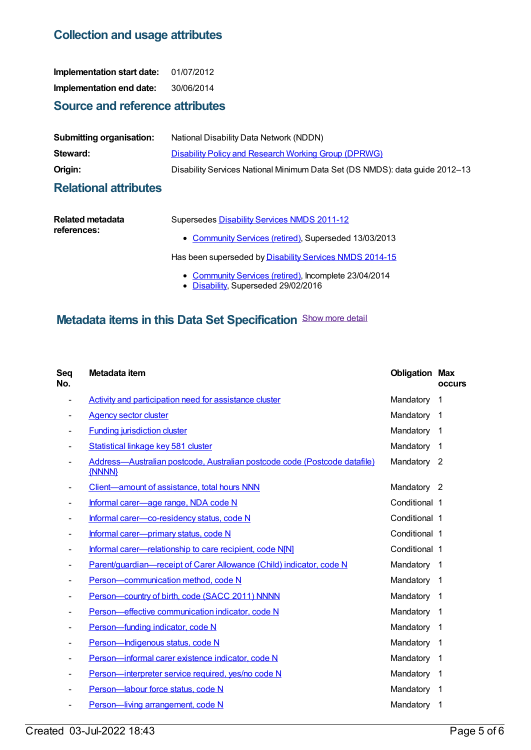### **Collection and usage attributes**

**Implementation start date:** 01/07/2012 **Implementation end date:** 30/06/2014

## **Source and reference attributes**

| <b>Submitting organisation:</b> | National Disability Data Network (NDDN)                                     |
|---------------------------------|-----------------------------------------------------------------------------|
| Steward:                        | <b>Disability Policy and Research Working Group (DPRWG)</b>                 |
| Origin:                         | Disability Services National Minimum Data Set (DS NMDS): data guide 2012-13 |

### **Relational attributes**

| Related metadata | Supersedes Disability Services NMDS 2011-12             |
|------------------|---------------------------------------------------------|
| references:      | • Community Services (retired), Superseded 13/03/2013   |
|                  | Has been superseded by Disability Services NMDS 2014-15 |

- [Community](https://meteor.aihw.gov.au/RegistrationAuthority/1) Services (retired), Incomplete 23/04/2014
- [Disability](https://meteor.aihw.gov.au/RegistrationAuthority/16), Superseded 29/02/2016

# **Metadata items in this Data Set Specification** Show more detail

| Seq<br>No. | Metadata item                                                                       | <b>Obligation Max</b> | <b>occurs</b>           |
|------------|-------------------------------------------------------------------------------------|-----------------------|-------------------------|
| -          | Activity and participation need for assistance cluster                              | Mandatory             | 1                       |
|            | <b>Agency sector cluster</b>                                                        | Mandatory             | $\overline{1}$          |
|            | <b>Funding jurisdiction cluster</b>                                                 | Mandatory             | 1                       |
|            | Statistical linkage key 581 cluster                                                 | Mandatory             | 1                       |
|            | Address-Australian postcode, Australian postcode code (Postcode datafile)<br>{NNNN} | Mandatory 2           |                         |
|            | Client-amount of assistance, total hours NNN                                        | Mandatory 2           |                         |
|            | Informal carer-age range, NDA code N                                                | Conditional 1         |                         |
|            | Informal carer-co-residency status, code N                                          | Conditional 1         |                         |
|            | Informal carer-primary status, code N                                               | Conditional 1         |                         |
|            | Informal carer-relationship to care recipient, code NIN1                            | Conditional 1         |                         |
|            | Parent/guardian-receipt of Carer Allowance (Child) indicator, code N                | Mandatory             | $\overline{\mathbf{1}}$ |
|            | Person-communication method, code N                                                 | Mandatory             | $\mathbf 1$             |
|            | Person-country of birth, code (SACC 2011) NNNN                                      | Mandatory             | 1                       |
|            | Person-effective communication indicator, code N                                    | Mandatory             | $\mathbf 1$             |
|            | Person-funding indicator, code N                                                    | Mandatory             | 1                       |
|            | Person-Indigenous status, code N                                                    | Mandatory             | 1                       |
|            | Person-informal carer existence indicator, code N                                   | Mandatory             | $\mathbf 1$             |
|            | Person-interpreter service required, yes/no code N                                  | Mandatory             | $\mathbf 1$             |
|            | Person-labour force status, code N                                                  | Mandatory             | 1                       |
|            | Person-living arrangement, code N                                                   | Mandatory             | 1                       |
|            |                                                                                     |                       |                         |